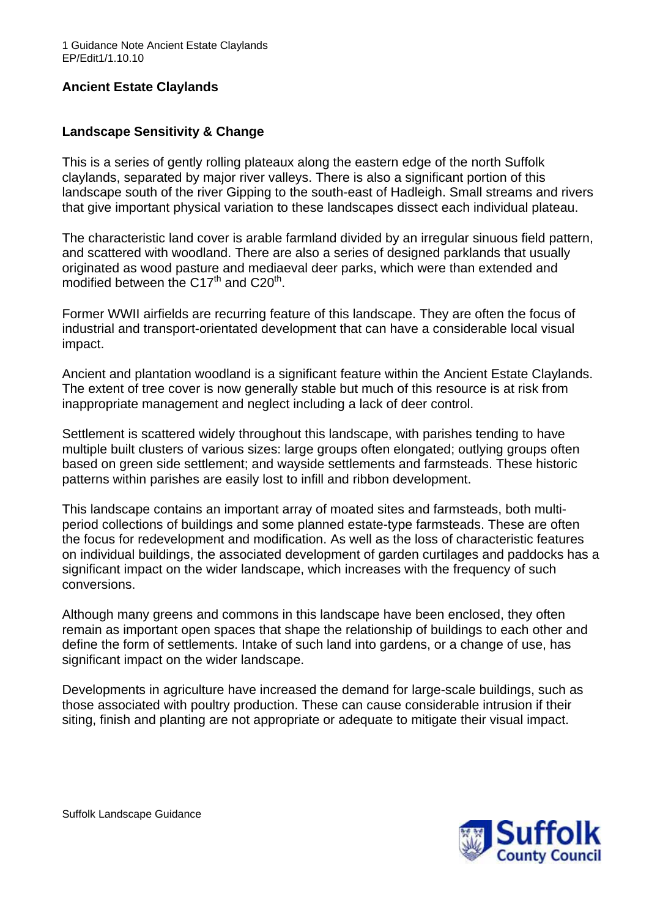# **Ancient Estate Claylands**

# **Landscape Sensitivity & Change**

This is a series of gently rolling plateaux along the eastern edge of the north Suffolk claylands, separated by major river valleys. There is also a significant portion of this landscape south of the river Gipping to the south-east of Hadleigh. Small streams and rivers that give important physical variation to these landscapes dissect each individual plateau.

The characteristic land cover is arable farmland divided by an irregular sinuous field pattern, and scattered with woodland. There are also a series of designed parklands that usually originated as wood pasture and mediaeval deer parks, which were than extended and modified between the  $C17<sup>th</sup>$  and  $C20<sup>th</sup>$ .

Former WWII airfields are recurring feature of this landscape. They are often the focus of industrial and transport-orientated development that can have a considerable local visual impact.

Ancient and plantation woodland is a significant feature within the Ancient Estate Claylands. The extent of tree cover is now generally stable but much of this resource is at risk from inappropriate management and neglect including a lack of deer control.

Settlement is scattered widely throughout this landscape, with parishes tending to have multiple built clusters of various sizes: large groups often elongated; outlying groups often based on green side settlement; and wayside settlements and farmsteads. These historic patterns within parishes are easily lost to infill and ribbon development.

This landscape contains an important array of moated sites and farmsteads, both multiperiod collections of buildings and some planned estate-type farmsteads. These are often the focus for redevelopment and modification. As well as the loss of characteristic features on individual buildings, the associated development of garden curtilages and paddocks has a significant impact on the wider landscape, which increases with the frequency of such conversions.

Although many greens and commons in this landscape have been enclosed, they often remain as important open spaces that shape the relationship of buildings to each other and define the form of settlements. Intake of such land into gardens, or a change of use, has significant impact on the wider landscape.

Developments in agriculture have increased the demand for large-scale buildings, such as those associated with poultry production. These can cause considerable intrusion if their siting, finish and planting are not appropriate or adequate to mitigate their visual impact.

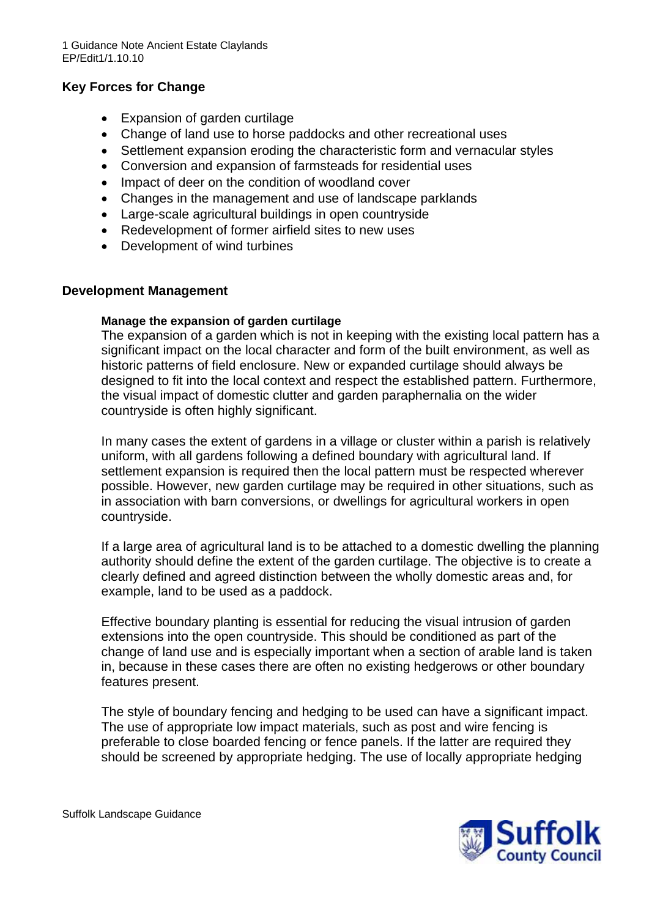# **Key Forces for Change**

- Expansion of garden curtilage
- Change of land use to horse paddocks and other recreational uses
- Settlement expansion eroding the characteristic form and vernacular styles
- Conversion and expansion of farmsteads for residential uses
- Impact of deer on the condition of woodland cover
- Changes in the management and use of landscape parklands
- Large-scale agricultural buildings in open countryside
- Redevelopment of former airfield sites to new uses
- Development of wind turbines

### **Development Management**

#### **Manage the expansion of garden curtilage**

The expansion of a garden which is not in keeping with the existing local pattern has a significant impact on the local character and form of the built environment, as well as historic patterns of field enclosure. New or expanded curtilage should always be designed to fit into the local context and respect the established pattern. Furthermore, the visual impact of domestic clutter and garden paraphernalia on the wider countryside is often highly significant.

In many cases the extent of gardens in a village or cluster within a parish is relatively uniform, with all gardens following a defined boundary with agricultural land. If settlement expansion is required then the local pattern must be respected wherever possible. However, new garden curtilage may be required in other situations, such as in association with barn conversions, or dwellings for agricultural workers in open countryside.

If a large area of agricultural land is to be attached to a domestic dwelling the planning authority should define the extent of the garden curtilage. The objective is to create a clearly defined and agreed distinction between the wholly domestic areas and, for example, land to be used as a paddock.

Effective boundary planting is essential for reducing the visual intrusion of garden extensions into the open countryside. This should be conditioned as part of the change of land use and is especially important when a section of arable land is taken in, because in these cases there are often no existing hedgerows or other boundary features present.

The style of boundary fencing and hedging to be used can have a significant impact. The use of appropriate low impact materials, such as post and wire fencing is preferable to close boarded fencing or fence panels. If the latter are required they should be screened by appropriate hedging. The use of locally appropriate hedging



Suffolk Landscape Guidance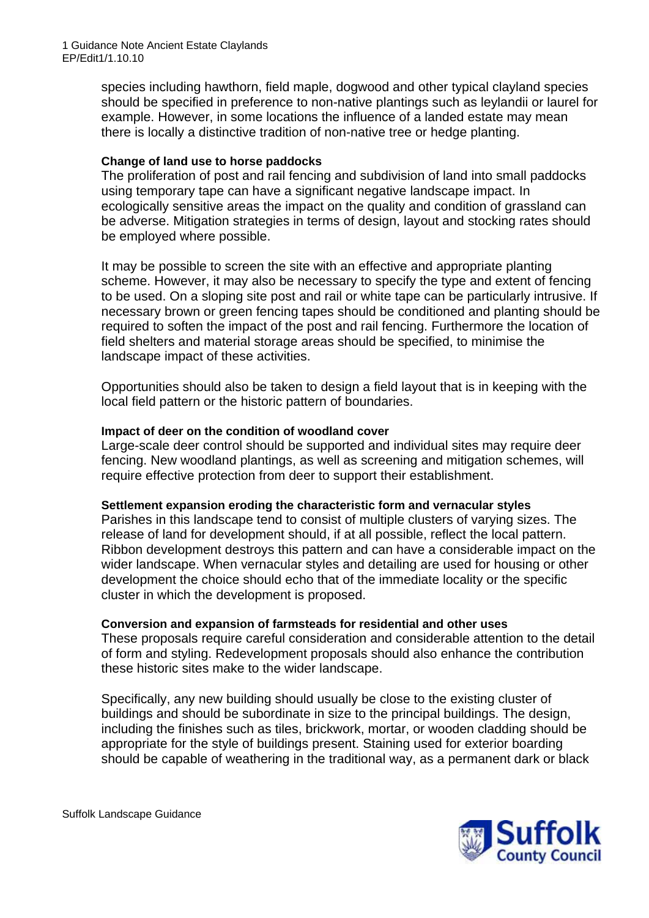species including hawthorn, field maple, dogwood and other typical clayland species should be specified in preference to non-native plantings such as leylandii or laurel for example. However, in some locations the influence of a landed estate may mean there is locally a distinctive tradition of non-native tree or hedge planting.

## **Change of land use to horse paddocks**

The proliferation of post and rail fencing and subdivision of land into small paddocks using temporary tape can have a significant negative landscape impact. In ecologically sensitive areas the impact on the quality and condition of grassland can be adverse. Mitigation strategies in terms of design, layout and stocking rates should be employed where possible.

It may be possible to screen the site with an effective and appropriate planting scheme. However, it may also be necessary to specify the type and extent of fencing to be used. On a sloping site post and rail or white tape can be particularly intrusive. If necessary brown or green fencing tapes should be conditioned and planting should be required to soften the impact of the post and rail fencing. Furthermore the location of field shelters and material storage areas should be specified, to minimise the landscape impact of these activities.

Opportunities should also be taken to design a field layout that is in keeping with the local field pattern or the historic pattern of boundaries.

### **Impact of deer on the condition of woodland cover**

Large-scale deer control should be supported and individual sites may require deer fencing. New woodland plantings, as well as screening and mitigation schemes, will require effective protection from deer to support their establishment.

#### **Settlement expansion eroding the characteristic form and vernacular styles**

Parishes in this landscape tend to consist of multiple clusters of varying sizes. The release of land for development should, if at all possible, reflect the local pattern. Ribbon development destroys this pattern and can have a considerable impact on the wider landscape. When vernacular styles and detailing are used for housing or other development the choice should echo that of the immediate locality or the specific cluster in which the development is proposed.

## **Conversion and expansion of farmsteads for residential and other uses**

These proposals require careful consideration and considerable attention to the detail of form and styling. Redevelopment proposals should also enhance the contribution these historic sites make to the wider landscape.

Specifically, any new building should usually be close to the existing cluster of buildings and should be subordinate in size to the principal buildings. The design, including the finishes such as tiles, brickwork, mortar, or wooden cladding should be appropriate for the style of buildings present. Staining used for exterior boarding should be capable of weathering in the traditional way, as a permanent dark or black



Suffolk Landscape Guidance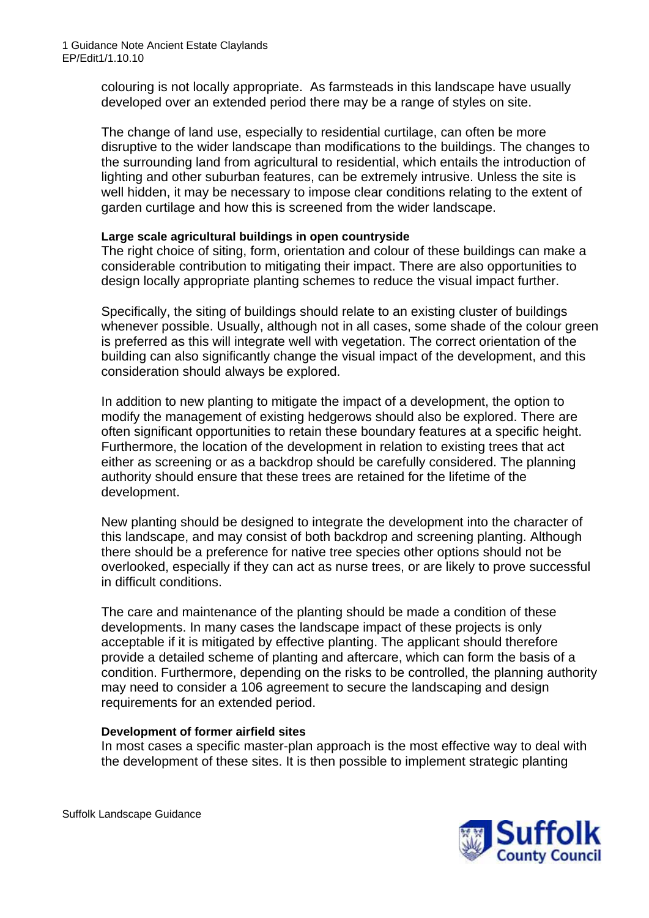colouring is not locally appropriate. As farmsteads in this landscape have usually developed over an extended period there may be a range of styles on site.

The change of land use, especially to residential curtilage, can often be more disruptive to the wider landscape than modifications to the buildings. The changes to the surrounding land from agricultural to residential, which entails the introduction of lighting and other suburban features, can be extremely intrusive. Unless the site is well hidden, it may be necessary to impose clear conditions relating to the extent of garden curtilage and how this is screened from the wider landscape.

### **Large scale agricultural buildings in open countryside**

The right choice of siting, form, orientation and colour of these buildings can make a considerable contribution to mitigating their impact. There are also opportunities to design locally appropriate planting schemes to reduce the visual impact further.

Specifically, the siting of buildings should relate to an existing cluster of buildings whenever possible. Usually, although not in all cases, some shade of the colour green is preferred as this will integrate well with vegetation. The correct orientation of the building can also significantly change the visual impact of the development, and this consideration should always be explored.

In addition to new planting to mitigate the impact of a development, the option to modify the management of existing hedgerows should also be explored. There are often significant opportunities to retain these boundary features at a specific height. Furthermore, the location of the development in relation to existing trees that act either as screening or as a backdrop should be carefully considered. The planning authority should ensure that these trees are retained for the lifetime of the development.

New planting should be designed to integrate the development into the character of this landscape, and may consist of both backdrop and screening planting. Although there should be a preference for native tree species other options should not be overlooked, especially if they can act as nurse trees, or are likely to prove successful in difficult conditions.

The care and maintenance of the planting should be made a condition of these developments. In many cases the landscape impact of these projects is only acceptable if it is mitigated by effective planting. The applicant should therefore provide a detailed scheme of planting and aftercare, which can form the basis of a condition. Furthermore, depending on the risks to be controlled, the planning authority may need to consider a 106 agreement to secure the landscaping and design requirements for an extended period.

#### **Development of former airfield sites**

In most cases a specific master-plan approach is the most effective way to deal with the development of these sites. It is then possible to implement strategic planting



Suffolk Landscape Guidance